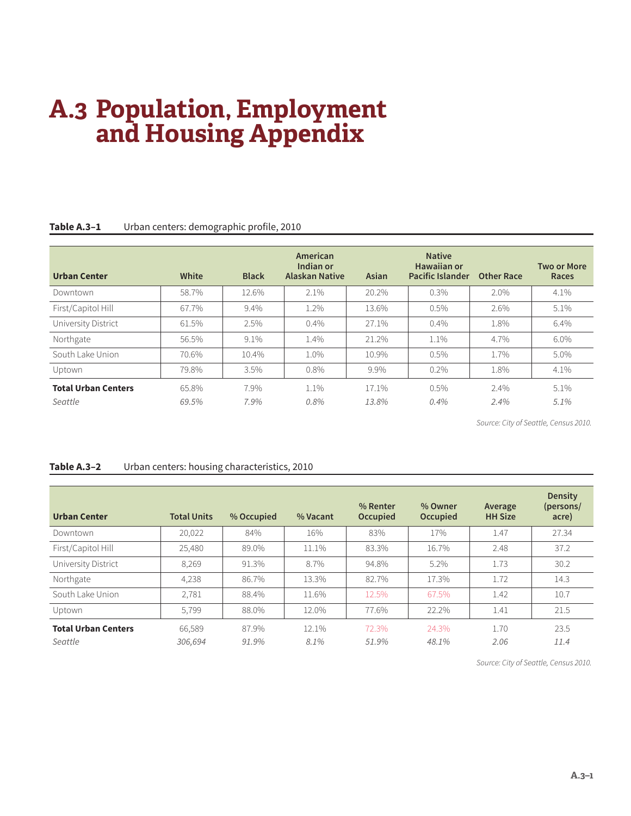# **A.3 Population, Employment and Housing Appendix**

| <b>Urban Center</b>                   | White          | <b>Black</b> | American<br>Indian or<br><b>Alaskan Native</b> | Asian          | <b>Native</b><br>Hawaiian or<br><b>Pacific Islander</b> | <b>Other Race</b> | <b>Two or More</b><br>Races |
|---------------------------------------|----------------|--------------|------------------------------------------------|----------------|---------------------------------------------------------|-------------------|-----------------------------|
| Downtown                              | 58.7%          | 12.6%        | 2.1%                                           | 20.2%          | 0.3%                                                    | 2.0%              | 4.1%                        |
| First/Capitol Hill                    | 67.7%          | 9.4%         | 1.2%                                           | 13.6%          | $0.5\%$                                                 | 2.6%              | 5.1%                        |
| University District                   | 61.5%          | 2.5%         | 0.4%                                           | 27.1%          | 0.4%                                                    | 1.8%              | 6.4%                        |
| Northgate                             | 56.5%          | 9.1%         | 1.4%                                           | 21.2%          | 1.1%                                                    | 4.7%              | 6.0%                        |
| South Lake Union                      | 70.6%          | 10.4%        | $1.0\%$                                        | 10.9%          | $0.5\%$                                                 | 1.7%              | $5.0\%$                     |
| Uptown                                | 79.8%          | 3.5%         | 0.8%                                           | 9.9%           | $0.2\%$                                                 | 1.8%              | 4.1%                        |
| <b>Total Urban Centers</b><br>Seattle | 65.8%<br>69.5% | 7.9%<br>7.9% | $1.1\%$<br>$0.8\%$                             | 17.1%<br>13.8% | $0.5\%$<br>$0.4\%$                                      | $2.4\%$<br>2.4%   | 5.1%<br>5.1%                |

### **Table A.3–1** Urban centers: demographic profile, 2010

*Source: City of Seattle, Census 2010.*

#### **Table A.3–2** Urban centers: housing characteristics, 2010

| <b>Urban Center</b>                   | <b>Total Units</b> | % Occupied     | % Vacant         | % Renter<br><b>Occupied</b> | % Owner<br>Occupied | Average<br><b>HH Size</b> | <b>Density</b><br>(persons/<br>acre) |
|---------------------------------------|--------------------|----------------|------------------|-----------------------------|---------------------|---------------------------|--------------------------------------|
| Downtown                              | 20,022             | 84%            | 16%              | 83%                         | 17%                 | 1.47                      | 27.34                                |
| First/Capitol Hill                    | 25,480             | 89.0%          | 11.1%            | 83.3%                       | 16.7%               | 2.48                      | 37.2                                 |
| University District                   | 8,269              | 91.3%          | 8.7%             | 94.8%                       | 5.2%                | 1.73                      | 30.2                                 |
| Northgate                             | 4,238              | 86.7%          | 13.3%            | 82.7%                       | 17.3%               | 1.72                      | 14.3                                 |
| South Lake Union                      | 2,781              | 88.4%          | 11.6%            | 12.5%                       | 67.5%               | 1.42                      | 10.7                                 |
| Uptown                                | 5,799              | 88.0%          | 12.0%            | 77.6%                       | 22.2%               | 1.41                      | 21.5                                 |
| <b>Total Urban Centers</b><br>Seattle | 66,589<br>306.694  | 87.9%<br>91.9% | $12.1\%$<br>8.1% | 72.3%<br>51.9%              | 24.3%<br>48.1%      | 1.70<br>2.06              | 23.5<br>11.4                         |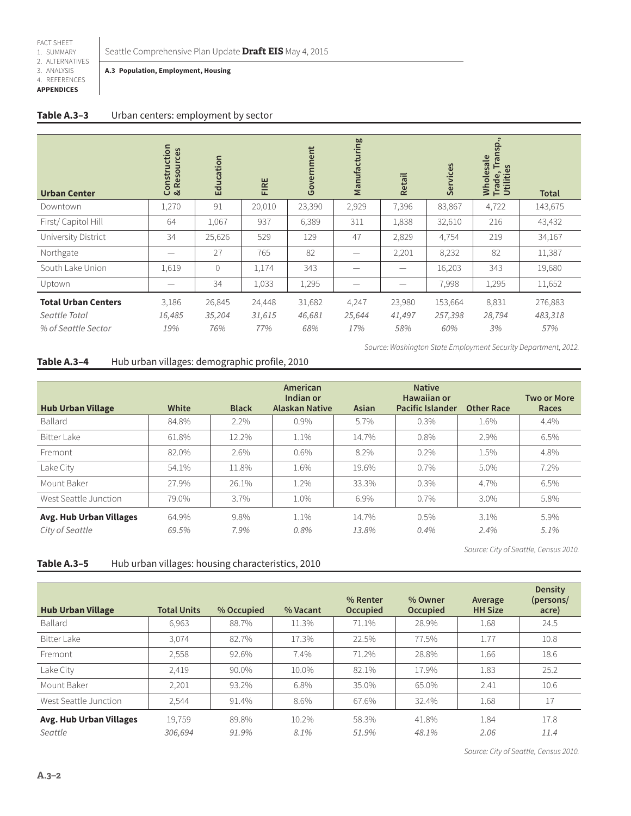2. ALTERNATIVES

#### 3. ANALYSIS 4. REFERENCES

**APPENDICES**

**A.3 Population, Employment, Housing**

| <b>Urban Center</b>                                                | Construction<br>& Resources | Education               | FIRE                    | Government              | Manufacturing          | <b>Retail</b>           | Services                  | Transp.<br>Wholesale<br>Trade, Tran<br>Utilities | <b>Total</b>              |
|--------------------------------------------------------------------|-----------------------------|-------------------------|-------------------------|-------------------------|------------------------|-------------------------|---------------------------|--------------------------------------------------|---------------------------|
| Downtown                                                           | 1,270                       | 91                      | 20,010                  | 23,390                  | 2,929                  | 7,396                   | 83,867                    | 4,722                                            | 143,675                   |
| First/Capitol Hill                                                 | 64                          | 1,067                   | 937                     | 6,389                   | 311                    | 1,838                   | 32,610                    | 216                                              | 43,432                    |
| University District                                                | 34                          | 25,626                  | 529                     | 129                     | 47                     | 2,829                   | 4,754                     | 219                                              | 34,167                    |
| Northgate                                                          | -                           | 27                      | 765                     | 82                      |                        | 2,201                   | 8,232                     | 82                                               | 11,387                    |
| South Lake Union                                                   | 1,619                       | $\overline{0}$          | 1,174                   | 343                     |                        | -                       | 16,203                    | 343                                              | 19,680                    |
| Uptown                                                             |                             | 34                      | 1,033                   | 1,295                   |                        |                         | 7,998                     | 1,295                                            | 11,652                    |
| <b>Total Urban Centers</b><br>Seattle Total<br>% of Seattle Sector | 3,186<br>16,485<br>19%      | 26,845<br>35,204<br>76% | 24,448<br>31,615<br>77% | 31,682<br>46,681<br>68% | 4,247<br>25,644<br>17% | 23,980<br>41,497<br>58% | 153,664<br>257,398<br>60% | 8,831<br>28,794<br>3%                            | 276,883<br>483,318<br>57% |

*Source: Washington State Employment Security Department, 2012.*

### **Table A.3–4** Hub urban villages: demographic profile, 2010

| <b>Hub Urban Village</b>                          | White          | <b>Black</b> | American<br>Indian or<br><b>Alaskan Native</b> | Asian          | <b>Native</b><br>Hawaiian or<br><b>Pacific Islander</b> | <b>Other Race</b>  | <b>Two or More</b><br>Races |
|---------------------------------------------------|----------------|--------------|------------------------------------------------|----------------|---------------------------------------------------------|--------------------|-----------------------------|
| Ballard                                           | 84.8%          | 2.2%         | 0.9%                                           | 5.7%           | 0.3%                                                    | 1.6%               | 4.4%                        |
| Bitter Lake                                       | 61.8%          | 12.2%        | 1.1%                                           | 14.7%          | 0.8%                                                    | 2.9%               | 6.5%                        |
| Fremont                                           | 82.0%          | 2.6%         | $0.6\%$                                        | 8.2%           | $0.2\%$                                                 | 1.5%               | 4.8%                        |
| Lake City                                         | 54.1%          | 11.8%        | 1.6%                                           | 19.6%          | 0.7%                                                    | 5.0%               | 7.2%                        |
| Mount Baker                                       | 27.9%          | 26.1%        | 1.2%                                           | 33.3%          | $0.3\%$                                                 | 4.7%               | 6.5%                        |
| West Seattle Junction                             | 79.0%          | 3.7%         | 1.0%                                           | 6.9%           | $0.7\%$                                                 | $3.0\%$            | 5.8%                        |
| <b>Avg. Hub Urban Villages</b><br>City of Seattle | 64.9%<br>69.5% | 9.8%<br>7.9% | 1.1%<br>0.8%                                   | 14.7%<br>13.8% | 0.5%<br>$0.4\%$                                         | $3.1\%$<br>$2.4\%$ | 5.9%<br>5.1%                |

*Source: City of Seattle, Census 2010.*

#### Table A.3-5 Hub urban villages: housing characteristics, 2010

| <b>Hub Urban Village</b>           | <b>Total Units</b> | % Occupied     | % Vacant      | % Renter<br><b>Occupied</b> | % Owner<br>Occupied | Average<br><b>HH Size</b> | <b>Density</b><br>(persons/<br>acre) |
|------------------------------------|--------------------|----------------|---------------|-----------------------------|---------------------|---------------------------|--------------------------------------|
| Ballard                            | 6,963              | 88.7%          | 11.3%         | 71.1%                       | 28.9%               | 1.68                      | 24.5                                 |
| Bitter Lake                        | 3.074              | 82.7%          | 17.3%         | 22.5%                       | 77.5%               | 1.77                      | 10.8                                 |
| Fremont                            | 2,558              | 92.6%          | 7.4%          | 71.2%                       | 28.8%               | 1.66                      | 18.6                                 |
| Lake City                          | 2,419              | 90.0%          | 10.0%         | 82.1%                       | 17.9%               | 1.83                      | 25.2                                 |
| Mount Baker                        | 2,201              | 93.2%          | 6.8%          | 35.0%                       | 65.0%               | 2.41                      | 10.6                                 |
| West Seattle Junction              | 2.544              | 91.4%          | 8.6%          | 67.6%                       | 32.4%               | 1.68                      | 17                                   |
| Avg. Hub Urban Villages<br>Seattle | 19.759<br>306.694  | 89.8%<br>91.9% | 10.2%<br>8.1% | 58.3%<br>51.9%              | 41.8%<br>48.1%      | 1.84<br>2.06              | 17.8<br>11.4                         |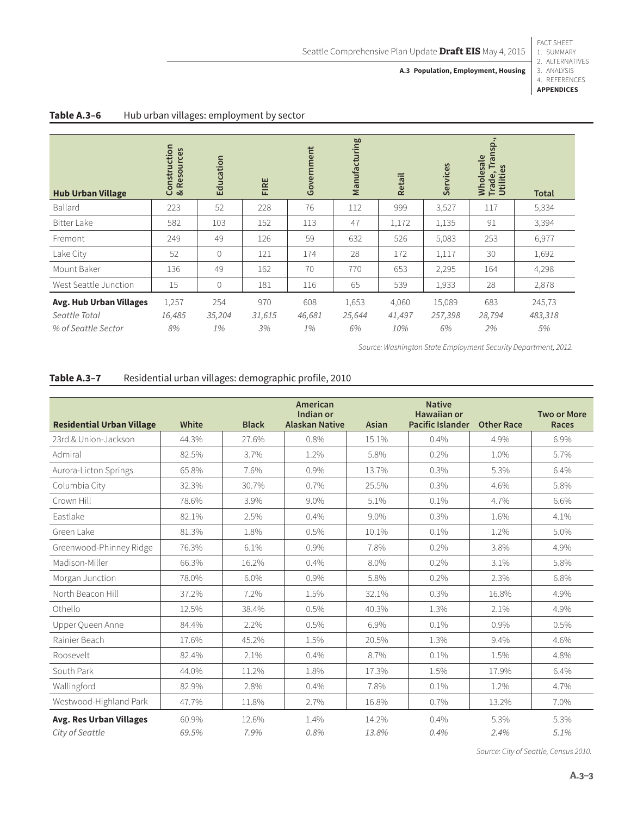## 1. SUMMARY

**A.3 Population, Employment, Housing**

FACT SHEET

| <b>Hub Urban Village</b>       | Construction<br>& Resources | Education    | FIRE   | Government | Manufacturing | <b>Retail</b> | Services | Transp.,<br>Wholesale<br>Trade, Tran<br>Utilities | <b>Total</b> |
|--------------------------------|-----------------------------|--------------|--------|------------|---------------|---------------|----------|---------------------------------------------------|--------------|
| Ballard                        | 223                         | 52           | 228    | 76         | 112           | 999           | 3,527    | 117                                               | 5,334        |
| <b>Bitter Lake</b>             | 582                         | 103          | 152    | 113        | 47            | 1,172         | 1,135    | 91                                                | 3,394        |
| Fremont                        | 249                         | 49           | 126    | 59         | 632           | 526           | 5,083    | 253                                               | 6,977        |
| Lake City                      | 52                          | $\mathbf 0$  | 121    | 174        | 28            | 172           | 1,117    | 30                                                | 1,692        |
| Mount Baker                    | 136                         | 49           | 162    | 70         | 770           | 653           | 2,295    | 164                                               | 4,298        |
| West Seattle Junction          | 15                          | $\mathbf{0}$ | 181    | 116        | 65            | 539           | 1,933    | 28                                                | 2,878        |
| <b>Avg. Hub Urban Villages</b> | 1,257                       | 254          | 970    | 608        | 1,653         | 4,060         | 15,089   | 683                                               | 245,73       |
| Seattle Total                  | 16,485                      | 35,204       | 31,615 | 46,681     | 25,644        | 41,497        | 257,398  | 28,794                                            | 483,318      |
| % of Seattle Sector            | 8%                          | 1%           | 3%     | 1%         | 6%            | 10%           | 6%       | 2%                                                | 5%           |

#### Table A.3-6 Hub urban villages: employment by sector

*Source: Washington State Employment Security Department, 2012.*

#### **Table A.3–7** Residential urban villages: demographic profile, 2010

| <b>Residential Urban Village</b> | White | <b>Black</b> | American<br>Indian or<br><b>Alaskan Native</b> | Asian | <b>Native</b><br><b>Hawaiian or</b><br><b>Pacific Islander</b> | <b>Other Race</b> | <b>Two or More</b><br><b>Races</b> |
|----------------------------------|-------|--------------|------------------------------------------------|-------|----------------------------------------------------------------|-------------------|------------------------------------|
| 23rd & Union-Jackson             | 44.3% | 27.6%        | 0.8%                                           | 15.1% | 0.4%                                                           | 4.9%              | 6.9%                               |
| Admiral                          | 82.5% | 3.7%         | 1.2%                                           | 5.8%  | 0.2%                                                           | 1.0%              | 5.7%                               |
| Aurora-Licton Springs            | 65.8% | 7.6%         | 0.9%                                           | 13.7% | 0.3%                                                           | 5.3%              | 6.4%                               |
| Columbia City                    | 32.3% | 30.7%        | 0.7%                                           | 25.5% | 0.3%                                                           | 4.6%              | 5.8%                               |
| Crown Hill                       | 78.6% | 3.9%         | 9.0%                                           | 5.1%  | 0.1%                                                           | 4.7%              | 6.6%                               |
| Eastlake                         | 82.1% | 2.5%         | 0.4%                                           | 9.0%  | 0.3%                                                           | 1.6%              | 4.1%                               |
| Green Lake                       | 81.3% | 1.8%         | 0.5%                                           | 10.1% | 0.1%                                                           | 1.2%              | 5.0%                               |
| Greenwood-Phinney Ridge          | 76.3% | 6.1%         | 0.9%                                           | 7.8%  | 0.2%                                                           | 3.8%              | 4.9%                               |
| Madison-Miller                   | 66.3% | 16.2%        | 0.4%                                           | 8.0%  | 0.2%                                                           | 3.1%              | 5.8%                               |
| Morgan Junction                  | 78.0% | $6.0\%$      | 0.9%                                           | 5.8%  | 0.2%                                                           | 2.3%              | 6.8%                               |
| North Beacon Hill                | 37.2% | 7.2%         | 1.5%                                           | 32.1% | 0.3%                                                           | 16.8%             | 4.9%                               |
| Othello                          | 12.5% | 38.4%        | 0.5%                                           | 40.3% | 1.3%                                                           | 2.1%              | 4.9%                               |
| Upper Queen Anne                 | 84.4% | 2.2%         | 0.5%                                           | 6.9%  | 0.1%                                                           | 0.9%              | 0.5%                               |
| Rainier Beach                    | 17.6% | 45.2%        | 1.5%                                           | 20.5% | 1.3%                                                           | 9.4%              | 4.6%                               |
| Roosevelt                        | 82.4% | 2.1%         | 0.4%                                           | 8.7%  | 0.1%                                                           | 1.5%              | 4.8%                               |
| South Park                       | 44.0% | 11.2%        | 1.8%                                           | 17.3% | 1.5%                                                           | 17.9%             | 6.4%                               |
| Wallingford                      | 82.9% | 2.8%         | 0.4%                                           | 7.8%  | 0.1%                                                           | 1.2%              | 4.7%                               |
| Westwood-Highland Park           | 47.7% | 11.8%        | 2.7%                                           | 16.8% | 0.7%                                                           | 13.2%             | 7.0%                               |
| <b>Avg. Res Urban Villages</b>   | 60.9% | 12.6%        | 1.4%                                           | 14.2% | 0.4%                                                           | 5.3%              | 5.3%                               |
| City of Seattle                  | 69.5% | 7.9%         | 0.8%                                           | 13.8% | 0.4%                                                           | 2.4%              | 5.1%                               |

<sup>2.</sup> ALTERNATIVES 3. ANALYSIS 4. REFERENCES **APPENDICES**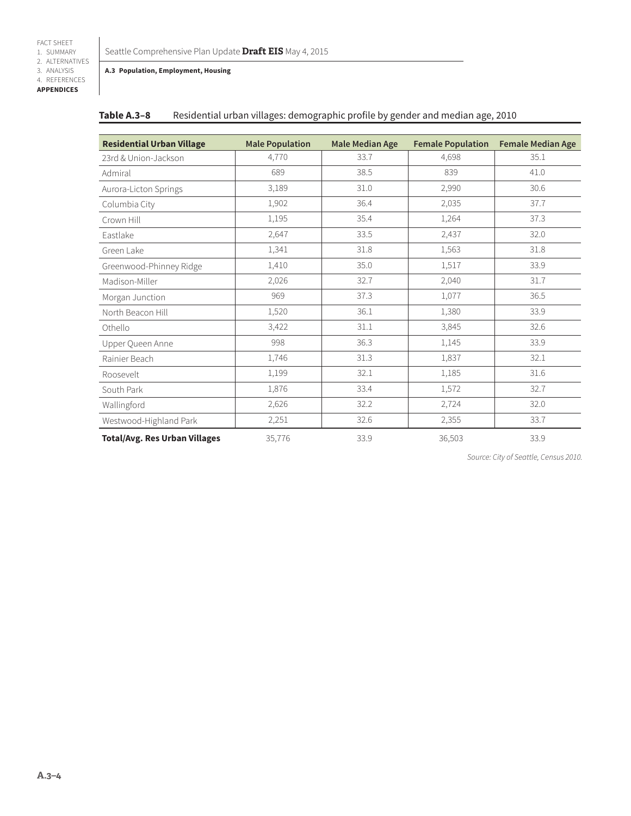#### Seattle Comprehensive Plan Update **Draft EIS** May 4, 2015

#### **A.3 Population, Employment, Housing**

| Table A.3-8 |  |  |  | Residential urban villages: demographic profile by gender and median age, 2010 |
|-------------|--|--|--|--------------------------------------------------------------------------------|
|-------------|--|--|--|--------------------------------------------------------------------------------|

| <b>Residential Urban Village</b>     | <b>Male Population</b> | <b>Male Median Age</b> | <b>Female Population</b> | <b>Female Median Age</b> |
|--------------------------------------|------------------------|------------------------|--------------------------|--------------------------|
| 23rd & Union-Jackson                 | 4,770                  | 33.7                   | 4,698                    | 35.1                     |
| Admiral                              | 689                    | 38.5                   | 839                      | 41.0                     |
| Aurora-Licton Springs                | 3,189                  | 31.0                   | 2,990                    | 30.6                     |
| Columbia City                        | 1,902                  | 36.4                   | 2,035                    | 37.7                     |
| Crown Hill                           | 1,195                  | 35.4                   | 1,264                    | 37.3                     |
| Eastlake                             | 2,647                  | 33.5                   | 2,437                    | 32.0                     |
| Green Lake                           | 1,341                  | 31.8                   | 1,563                    | 31.8                     |
| Greenwood-Phinney Ridge              | 1,410                  | 35.0                   | 1,517                    | 33.9                     |
| Madison-Miller                       | 2,026                  | 32.7                   | 2,040                    | 31.7                     |
| Morgan Junction                      | 969                    | 37.3                   | 1,077                    | 36.5                     |
| North Beacon Hill                    | 1,520                  | 36.1                   | 1,380                    | 33.9                     |
| Othello                              | 3,422                  | 31.1                   | 3,845                    | 32.6                     |
| Upper Queen Anne                     | 998                    | 36.3                   | 1,145                    | 33.9                     |
| Rainier Beach                        | 1,746                  | 31.3                   | 1,837                    | 32.1                     |
| Roosevelt                            | 1,199                  | 32.1                   | 1,185                    | 31.6                     |
| South Park                           | 1,876                  | 33.4                   | 1,572                    | 32.7                     |
| Wallingford                          | 2,626                  | 32.2                   | 2,724                    | 32.0                     |
| Westwood-Highland Park               | 2,251                  | 32.6                   | 2,355                    | 33.7                     |
| <b>Total/Avg. Res Urban Villages</b> | 35,776                 | 33.9                   | 36,503                   | 33.9                     |

*Source: City of Seattle, Census 2010.*

FACT SHEET 1. SUMMARY 2. ALTERNATIVES 3. ANALYSIS 4. REFERENCES **APPENDICES**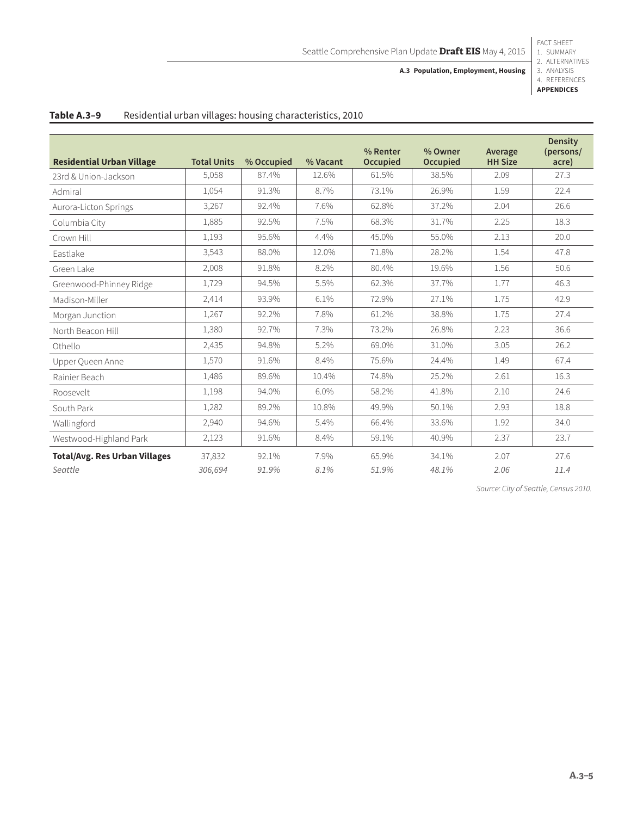FACT SHEET 1. SUMMARY 2. ALTERNATIVES

**A.3 Population, Employment, Housing**

3. ANALYSIS 4. REFERENCES **APPENDICES**

| <b>Residential Urban Village</b>     | <b>Total Units</b> | % Occupied | % Vacant | % Renter<br><b>Occupied</b> | % Owner<br>Occupied | Average<br><b>HH Size</b> | <b>Density</b><br>(persons/<br>acre) |
|--------------------------------------|--------------------|------------|----------|-----------------------------|---------------------|---------------------------|--------------------------------------|
| 23rd & Union-Jackson                 | 5,058              | 87.4%      | 12.6%    | 61.5%                       | 38.5%               | 2.09                      | 27.3                                 |
| Admiral                              | 1,054              | 91.3%      | 8.7%     | 73.1%                       | 26.9%               | 1.59                      | 22.4                                 |
| Aurora-Licton Springs                | 3,267              | 92.4%      | 7.6%     | 62.8%                       | 37.2%               | 2.04                      | 26.6                                 |
| Columbia City                        | 1,885              | 92.5%      | 7.5%     | 68.3%                       | 31.7%               | 2.25                      | 18.3                                 |
| Crown Hill                           | 1,193              | 95.6%      | 4.4%     | 45.0%                       | 55.0%               | 2.13                      | 20.0                                 |
| Eastlake                             | 3,543              | 88.0%      | 12.0%    | 71.8%                       | 28.2%               | 1.54                      | 47.8                                 |
| Green Lake                           | 2,008              | 91.8%      | 8.2%     | 80.4%                       | 19.6%               | 1.56                      | 50.6                                 |
| Greenwood-Phinney Ridge              | 1,729              | 94.5%      | 5.5%     | 62.3%                       | 37.7%               | 1.77                      | 46.3                                 |
| Madison-Miller                       | 2,414              | 93.9%      | 6.1%     | 72.9%                       | 27.1%               | 1.75                      | 42.9                                 |
| Morgan Junction                      | 1,267              | 92.2%      | 7.8%     | 61.2%                       | 38.8%               | 1.75                      | 27.4                                 |
| North Beacon Hill                    | 1,380              | 92.7%      | 7.3%     | 73.2%                       | 26.8%               | 2.23                      | 36.6                                 |
| Othello                              | 2,435              | 94.8%      | 5.2%     | 69.0%                       | 31.0%               | 3.05                      | 26.2                                 |
| Upper Queen Anne                     | 1,570              | 91.6%      | 8.4%     | 75.6%                       | 24.4%               | 1.49                      | 67.4                                 |
| Rainier Beach                        | 1,486              | 89.6%      | 10.4%    | 74.8%                       | 25.2%               | 2.61                      | 16.3                                 |
| Roosevelt                            | 1,198              | 94.0%      | 6.0%     | 58.2%                       | 41.8%               | 2.10                      | 24.6                                 |
| South Park                           | 1,282              | 89.2%      | 10.8%    | 49.9%                       | 50.1%               | 2.93                      | 18.8                                 |
| Wallingford                          | 2,940              | 94.6%      | 5.4%     | 66.4%                       | 33.6%               | 1.92                      | 34.0                                 |
| Westwood-Highland Park               | 2,123              | 91.6%      | 8.4%     | 59.1%                       | 40.9%               | 2.37                      | 23.7                                 |
| <b>Total/Avg. Res Urban Villages</b> | 37,832             | 92.1%      | 7.9%     | 65.9%                       | 34.1%               | 2.07                      | 27.6                                 |
| Seattle                              | 306,694            | 91.9%      | 8.1%     | 51.9%                       | 48.1%               | 2.06                      | 11.4                                 |

#### **Table A.3–9** Residential urban villages: housing characteristics, 2010